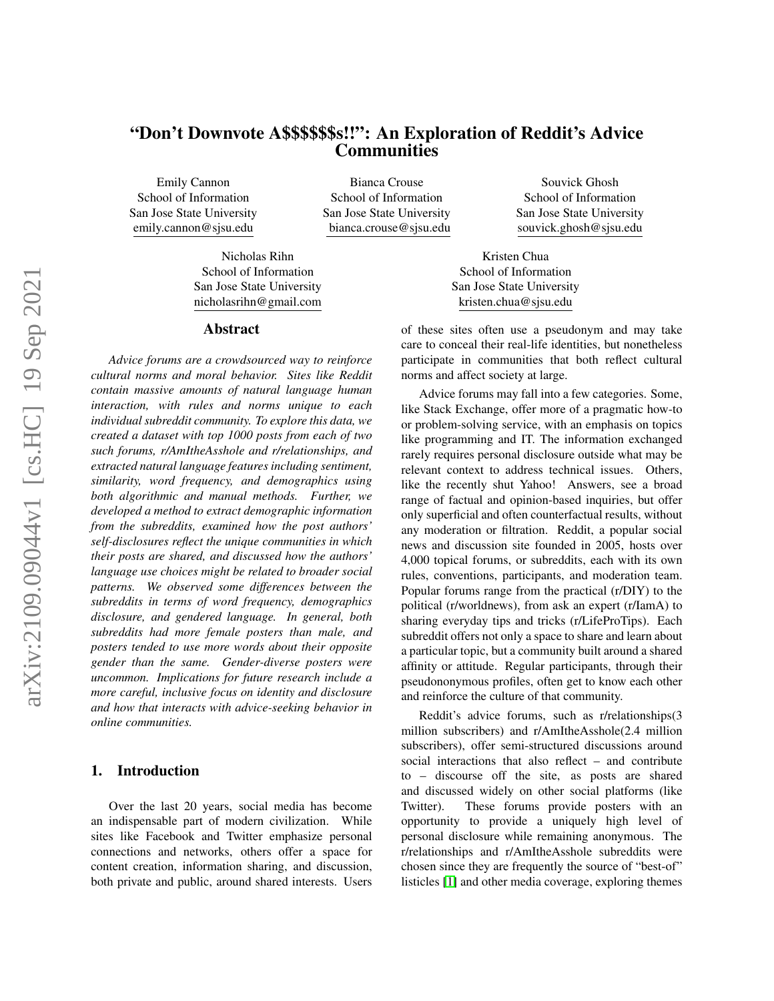# "Don't Downvote A\$\$\$\$\$\$s!!": An Exploration of Reddit's Advice **Communities**

Emily Cannon School of Information San Jose State University emily.cannon@sjsu.edu

Bianca Crouse School of Information San Jose State University bianca.crouse@sjsu.edu

Nicholas Rihn School of Information San Jose State University

#### Abstract

nicholasrihn@gmail.com

*Advice forums are a crowdsourced way to reinforce cultural norms and moral behavior. Sites like Reddit contain massive amounts of natural language human interaction, with rules and norms unique to each individual subreddit community. To explore this data, we created a dataset with top 1000 posts from each of two such forums, r/AmItheAsshole and r/relationships, and extracted natural language features including sentiment, similarity, word frequency, and demographics using both algorithmic and manual methods. Further, we developed a method to extract demographic information from the subreddits, examined how the post authors' self-disclosures reflect the unique communities in which their posts are shared, and discussed how the authors' language use choices might be related to broader social patterns. We observed some differences between the subreddits in terms of word frequency, demographics disclosure, and gendered language. In general, both subreddits had more female posters than male, and posters tended to use more words about their opposite gender than the same. Gender-diverse posters were uncommon. Implications for future research include a more careful, inclusive focus on identity and disclosure and how that interacts with advice-seeking behavior in online communities.*

### 1. Introduction

Over the last 20 years, social media has become an indispensable part of modern civilization. While sites like Facebook and Twitter emphasize personal connections and networks, others offer a space for content creation, information sharing, and discussion, both private and public, around shared interests. Users

Souvick Ghosh School of Information San Jose State University souvick.ghosh@sjsu.edu

Kristen Chua School of Information San Jose State University kristen.chua@sjsu.edu

of these sites often use a pseudonym and may take care to conceal their real-life identities, but nonetheless participate in communities that both reflect cultural norms and affect society at large.

Advice forums may fall into a few categories. Some, like Stack Exchange, offer more of a pragmatic how-to or problem-solving service, with an emphasis on topics like programming and IT. The information exchanged rarely requires personal disclosure outside what may be relevant context to address technical issues. Others, like the recently shut Yahoo! Answers, see a broad range of factual and opinion-based inquiries, but offer only superficial and often counterfactual results, without any moderation or filtration. Reddit, a popular social news and discussion site founded in 2005, hosts over 4,000 topical forums, or subreddits, each with its own rules, conventions, participants, and moderation team. Popular forums range from the practical (r/DIY) to the political (r/worldnews), from ask an expert (r/IamA) to sharing everyday tips and tricks (r/LifeProTips). Each subreddit offers not only a space to share and learn about a particular topic, but a community built around a shared affinity or attitude. Regular participants, through their pseudononymous profiles, often get to know each other and reinforce the culture of that community.

Reddit's advice forums, such as r/relationships(3 million subscribers) and r/AmItheAsshole(2.4 million subscribers), offer semi-structured discussions around social interactions that also reflect – and contribute to – discourse off the site, as posts are shared and discussed widely on other social platforms (like Twitter). These forums provide posters with an opportunity to provide a uniquely high level of personal disclosure while remaining anonymous. The r/relationships and r/AmItheAsshole subreddits were chosen since they are frequently the source of "best-of" listicles [\[1\]](#page-9-0) and other media coverage, exploring themes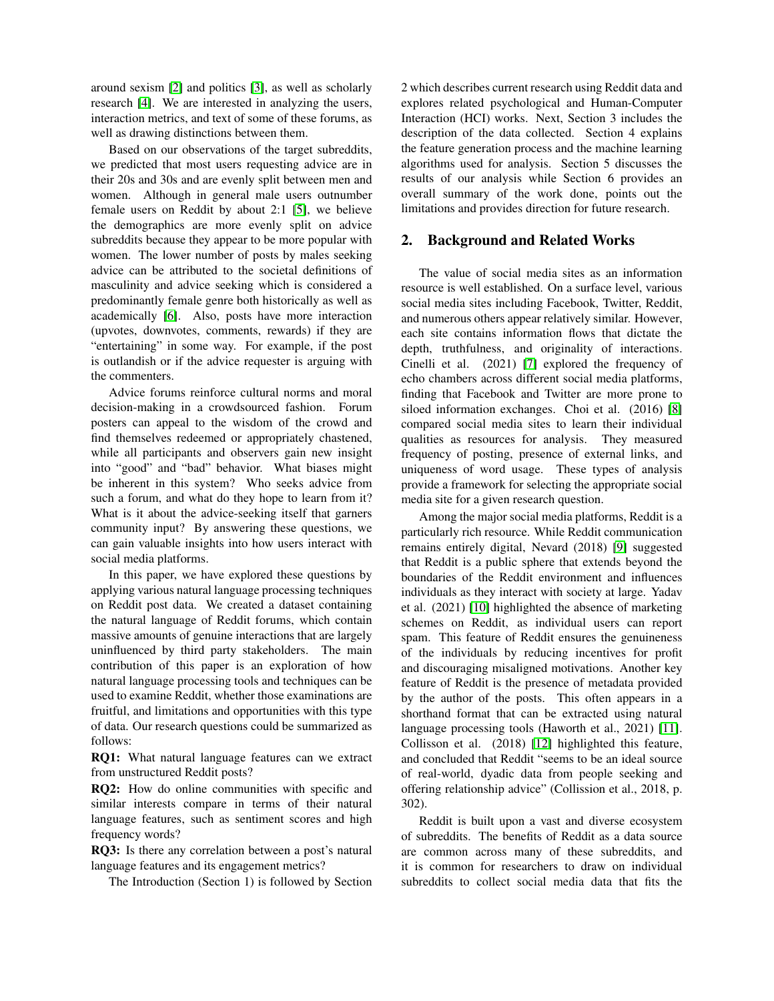around sexism [\[2\]](#page-9-1) and politics [\[3\]](#page-9-2), as well as scholarly research [\[4\]](#page-9-3). We are interested in analyzing the users, interaction metrics, and text of some of these forums, as well as drawing distinctions between them.

Based on our observations of the target subreddits, we predicted that most users requesting advice are in their 20s and 30s and are evenly split between men and women. Although in general male users outnumber female users on Reddit by about 2:1 [\[5\]](#page-9-4), we believe the demographics are more evenly split on advice subreddits because they appear to be more popular with women. The lower number of posts by males seeking advice can be attributed to the societal definitions of masculinity and advice seeking which is considered a predominantly female genre both historically as well as academically [\[6\]](#page-9-5). Also, posts have more interaction (upvotes, downvotes, comments, rewards) if they are "entertaining" in some way. For example, if the post is outlandish or if the advice requester is arguing with the commenters.

Advice forums reinforce cultural norms and moral decision-making in a crowdsourced fashion. Forum posters can appeal to the wisdom of the crowd and find themselves redeemed or appropriately chastened, while all participants and observers gain new insight into "good" and "bad" behavior. What biases might be inherent in this system? Who seeks advice from such a forum, and what do they hope to learn from it? What is it about the advice-seeking itself that garners community input? By answering these questions, we can gain valuable insights into how users interact with social media platforms.

In this paper, we have explored these questions by applying various natural language processing techniques on Reddit post data. We created a dataset containing the natural language of Reddit forums, which contain massive amounts of genuine interactions that are largely uninfluenced by third party stakeholders. The main contribution of this paper is an exploration of how natural language processing tools and techniques can be used to examine Reddit, whether those examinations are fruitful, and limitations and opportunities with this type of data. Our research questions could be summarized as follows:

RQ1: What natural language features can we extract from unstructured Reddit posts?

RQ2: How do online communities with specific and similar interests compare in terms of their natural language features, such as sentiment scores and high frequency words?

RQ3: Is there any correlation between a post's natural language features and its engagement metrics?

The Introduction (Section 1) is followed by Section

2 which describes current research using Reddit data and explores related psychological and Human-Computer Interaction (HCI) works. Next, Section 3 includes the description of the data collected. Section 4 explains the feature generation process and the machine learning algorithms used for analysis. Section 5 discusses the results of our analysis while Section 6 provides an overall summary of the work done, points out the limitations and provides direction for future research.

### 2. Background and Related Works

The value of social media sites as an information resource is well established. On a surface level, various social media sites including Facebook, Twitter, Reddit, and numerous others appear relatively similar. However, each site contains information flows that dictate the depth, truthfulness, and originality of interactions. Cinelli et al. (2021) [\[7\]](#page-9-6) explored the frequency of echo chambers across different social media platforms, finding that Facebook and Twitter are more prone to siloed information exchanges. Choi et al. (2016) [\[8\]](#page-9-7) compared social media sites to learn their individual qualities as resources for analysis. They measured frequency of posting, presence of external links, and uniqueness of word usage. These types of analysis provide a framework for selecting the appropriate social media site for a given research question.

Among the major social media platforms, Reddit is a particularly rich resource. While Reddit communication remains entirely digital, Nevard (2018) [\[9\]](#page-9-8) suggested that Reddit is a public sphere that extends beyond the boundaries of the Reddit environment and influences individuals as they interact with society at large. Yadav et al. (2021) [\[10\]](#page-9-9) highlighted the absence of marketing schemes on Reddit, as individual users can report spam. This feature of Reddit ensures the genuineness of the individuals by reducing incentives for profit and discouraging misaligned motivations. Another key feature of Reddit is the presence of metadata provided by the author of the posts. This often appears in a shorthand format that can be extracted using natural language processing tools (Haworth et al., 2021) [\[11\]](#page-9-10). Collisson et al. (2018) [\[12\]](#page-9-11) highlighted this feature, and concluded that Reddit "seems to be an ideal source of real-world, dyadic data from people seeking and offering relationship advice" (Collission et al., 2018, p. 302).

Reddit is built upon a vast and diverse ecosystem of subreddits. The benefits of Reddit as a data source are common across many of these subreddits, and it is common for researchers to draw on individual subreddits to collect social media data that fits the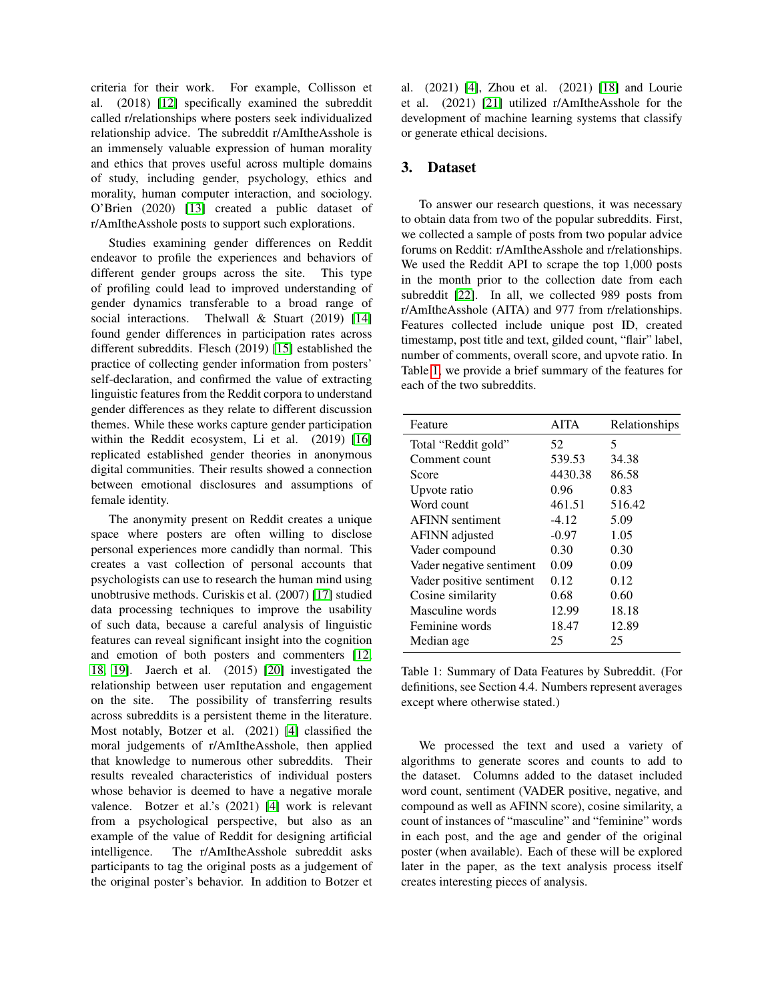criteria for their work. For example, Collisson et al. (2018) [\[12\]](#page-9-11) specifically examined the subreddit called r/relationships where posters seek individualized relationship advice. The subreddit r/AmItheAsshole is an immensely valuable expression of human morality and ethics that proves useful across multiple domains of study, including gender, psychology, ethics and morality, human computer interaction, and sociology. O'Brien (2020) [\[13\]](#page-9-12) created a public dataset of r/AmItheAsshole posts to support such explorations.

Studies examining gender differences on Reddit endeavor to profile the experiences and behaviors of different gender groups across the site. This type of profiling could lead to improved understanding of gender dynamics transferable to a broad range of social interactions. Thelwall & Stuart (2019) [\[14\]](#page-9-13) found gender differences in participation rates across different subreddits. Flesch (2019) [\[15\]](#page-9-14) established the practice of collecting gender information from posters' self-declaration, and confirmed the value of extracting linguistic features from the Reddit corpora to understand gender differences as they relate to different discussion themes. While these works capture gender participation within the Reddit ecosystem, Li et al. (2019) [\[16\]](#page-9-15) replicated established gender theories in anonymous digital communities. Their results showed a connection between emotional disclosures and assumptions of female identity.

The anonymity present on Reddit creates a unique space where posters are often willing to disclose personal experiences more candidly than normal. This creates a vast collection of personal accounts that psychologists can use to research the human mind using unobtrusive methods. Curiskis et al. (2007) [\[17\]](#page-9-16) studied data processing techniques to improve the usability of such data, because a careful analysis of linguistic features can reveal significant insight into the cognition and emotion of both posters and commenters [\[12,](#page-9-11) [18,](#page-9-17) [19\]](#page-9-18). Jaerch et al. (2015) [\[20\]](#page-9-19) investigated the relationship between user reputation and engagement on the site. The possibility of transferring results across subreddits is a persistent theme in the literature. Most notably, Botzer et al. (2021) [\[4\]](#page-9-3) classified the moral judgements of r/AmItheAsshole, then applied that knowledge to numerous other subreddits. Their results revealed characteristics of individual posters whose behavior is deemed to have a negative morale valence. Botzer et al.'s (2021) [\[4\]](#page-9-3) work is relevant from a psychological perspective, but also as an example of the value of Reddit for designing artificial intelligence. The r/AmItheAsshole subreddit asks participants to tag the original posts as a judgement of the original poster's behavior. In addition to Botzer et

al. (2021) [\[4\]](#page-9-3), Zhou et al. (2021) [\[18\]](#page-9-17) and Lourie et al. (2021) [\[21\]](#page-9-20) utilized r/AmItheAsshole for the development of machine learning systems that classify or generate ethical decisions.

## 3. Dataset

To answer our research questions, it was necessary to obtain data from two of the popular subreddits. First, we collected a sample of posts from two popular advice forums on Reddit: r/AmItheAsshole and r/relationships. We used the Reddit API to scrape the top 1,000 posts in the month prior to the collection date from each subreddit [\[22\]](#page-9-21). In all, we collected 989 posts from r/AmItheAsshole (AITA) and 977 from r/relationships. Features collected include unique post ID, created timestamp, post title and text, gilded count, "flair" label, number of comments, overall score, and upvote ratio. In Table [1,](#page-2-0) we provide a brief summary of the features for each of the two subreddits.

<span id="page-2-0"></span>

| Feature                  | <b>AITA</b> | Relationships |
|--------------------------|-------------|---------------|
| Total "Reddit gold"      | 52          | 5             |
| Comment count            | 539.53      | 34.38         |
| Score                    | 4430.38     | 86.58         |
| Upvote ratio             | 0.96        | 0.83          |
| Word count               | 461.51      | 516.42        |
| <b>AFINN</b> sentiment   | $-4.12$     | 5.09          |
| <b>AFINN</b> adjusted    | $-0.97$     | 1.05          |
| Vader compound           | 0.30        | 0.30          |
| Vader negative sentiment | 0.09        | 0.09          |
| Vader positive sentiment | 0.12        | 0.12          |
| Cosine similarity        | 0.68        | 0.60          |
| Masculine words          | 12.99       | 18.18         |
| Feminine words           | 18.47       | 12.89         |
| Median age               | 25          | 25            |
|                          |             |               |

Table 1: Summary of Data Features by Subreddit. (For definitions, see Section 4.4. Numbers represent averages except where otherwise stated.)

We processed the text and used a variety of algorithms to generate scores and counts to add to the dataset. Columns added to the dataset included word count, sentiment (VADER positive, negative, and compound as well as AFINN score), cosine similarity, a count of instances of "masculine" and "feminine" words in each post, and the age and gender of the original poster (when available). Each of these will be explored later in the paper, as the text analysis process itself creates interesting pieces of analysis.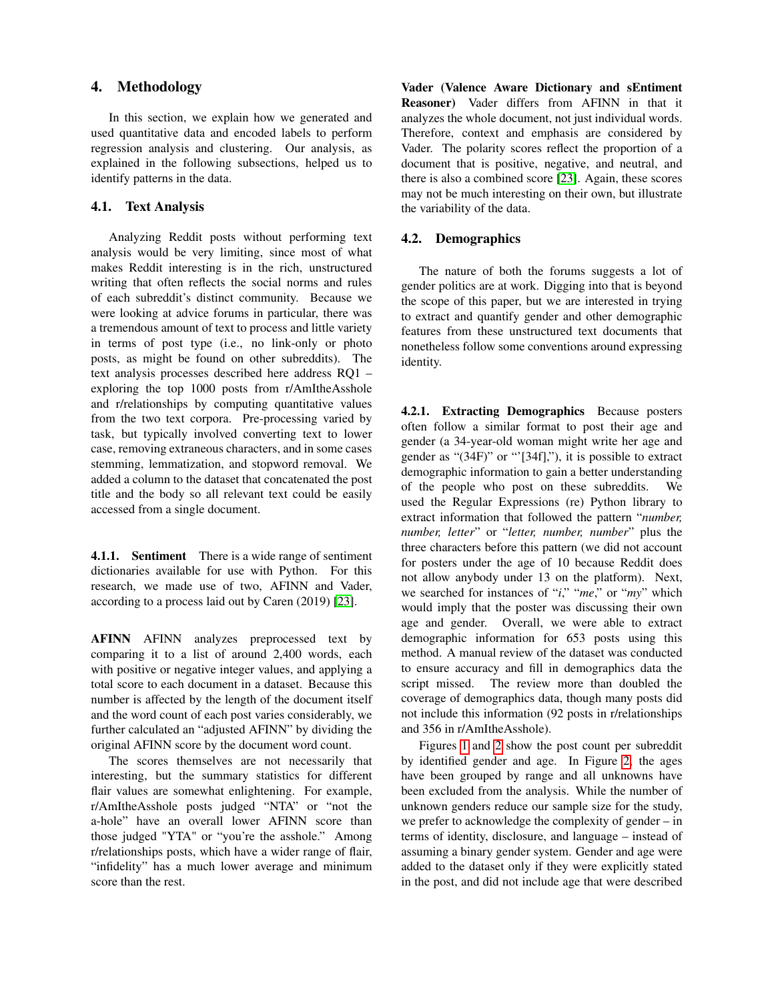### 4. Methodology

In this section, we explain how we generated and used quantitative data and encoded labels to perform regression analysis and clustering. Our analysis, as explained in the following subsections, helped us to identify patterns in the data.

### 4.1. Text Analysis

Analyzing Reddit posts without performing text analysis would be very limiting, since most of what makes Reddit interesting is in the rich, unstructured writing that often reflects the social norms and rules of each subreddit's distinct community. Because we were looking at advice forums in particular, there was a tremendous amount of text to process and little variety in terms of post type (i.e., no link-only or photo posts, as might be found on other subreddits). The text analysis processes described here address RQ1 – exploring the top 1000 posts from r/AmItheAsshole and r/relationships by computing quantitative values from the two text corpora. Pre-processing varied by task, but typically involved converting text to lower case, removing extraneous characters, and in some cases stemming, lemmatization, and stopword removal. We added a column to the dataset that concatenated the post title and the body so all relevant text could be easily accessed from a single document.

4.1.1. Sentiment There is a wide range of sentiment dictionaries available for use with Python. For this research, we made use of two, AFINN and Vader, according to a process laid out by Caren (2019) [\[23\]](#page-9-22).

AFINN AFINN analyzes preprocessed text by comparing it to a list of around 2,400 words, each with positive or negative integer values, and applying a total score to each document in a dataset. Because this number is affected by the length of the document itself and the word count of each post varies considerably, we further calculated an "adjusted AFINN" by dividing the original AFINN score by the document word count.

The scores themselves are not necessarily that interesting, but the summary statistics for different flair values are somewhat enlightening. For example, r/AmItheAsshole posts judged "NTA" or "not the a-hole" have an overall lower AFINN score than those judged "YTA" or "you're the asshole." Among r/relationships posts, which have a wider range of flair, "infidelity" has a much lower average and minimum score than the rest.

Vader (Valence Aware Dictionary and sEntiment Reasoner) Vader differs from AFINN in that it analyzes the whole document, not just individual words. Therefore, context and emphasis are considered by Vader. The polarity scores reflect the proportion of a document that is positive, negative, and neutral, and there is also a combined score [\[23\]](#page-9-22). Again, these scores may not be much interesting on their own, but illustrate the variability of the data.

#### 4.2. Demographics

The nature of both the forums suggests a lot of gender politics are at work. Digging into that is beyond the scope of this paper, but we are interested in trying to extract and quantify gender and other demographic features from these unstructured text documents that nonetheless follow some conventions around expressing identity.

4.2.1. Extracting Demographics Because posters often follow a similar format to post their age and gender (a 34-year-old woman might write her age and gender as "(34F)" or "'[34f],"), it is possible to extract demographic information to gain a better understanding of the people who post on these subreddits. We used the Regular Expressions (re) Python library to extract information that followed the pattern "*number, number, letter*" or "*letter, number, number*" plus the three characters before this pattern (we did not account for posters under the age of 10 because Reddit does not allow anybody under 13 on the platform). Next, we searched for instances of "*i*," "*me*," or "*my*" which would imply that the poster was discussing their own age and gender. Overall, we were able to extract demographic information for 653 posts using this method. A manual review of the dataset was conducted to ensure accuracy and fill in demographics data the script missed. The review more than doubled the coverage of demographics data, though many posts did not include this information (92 posts in r/relationships and 356 in r/AmItheAsshole).

Figures [1](#page-4-0) and [2](#page-4-1) show the post count per subreddit by identified gender and age. In Figure [2,](#page-4-1) the ages have been grouped by range and all unknowns have been excluded from the analysis. While the number of unknown genders reduce our sample size for the study, we prefer to acknowledge the complexity of gender – in terms of identity, disclosure, and language – instead of assuming a binary gender system. Gender and age were added to the dataset only if they were explicitly stated in the post, and did not include age that were described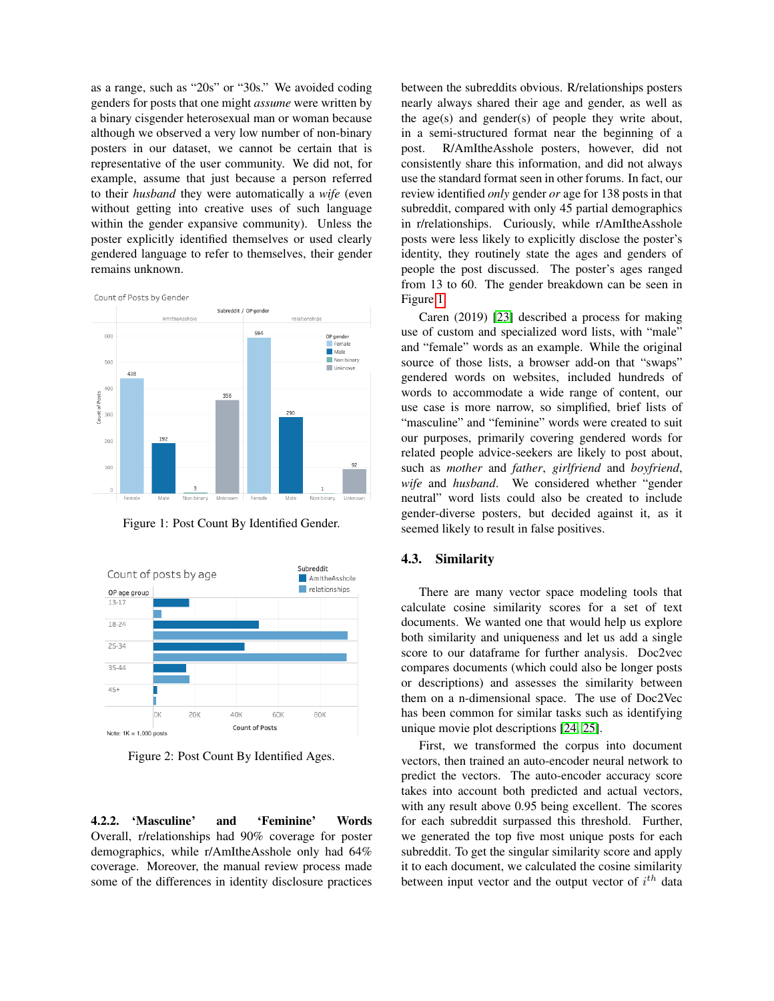as a range, such as "20s" or "30s." We avoided coding genders for posts that one might *assume* were written by a binary cisgender heterosexual man or woman because although we observed a very low number of non-binary posters in our dataset, we cannot be certain that is representative of the user community. We did not, for example, assume that just because a person referred to their *husband* they were automatically a *wife* (even without getting into creative uses of such language within the gender expansive community). Unless the poster explicitly identified themselves or used clearly gendered language to refer to themselves, their gender remains unknown.

<span id="page-4-0"></span>

Figure 1: Post Count By Identified Gender.

<span id="page-4-1"></span>

Figure 2: Post Count By Identified Ages.

4.2.2. 'Masculine' and 'Feminine' Words Overall, r/relationships had 90% coverage for poster demographics, while r/AmItheAsshole only had 64% coverage. Moreover, the manual review process made some of the differences in identity disclosure practices

between the subreddits obvious. R/relationships posters nearly always shared their age and gender, as well as the age(s) and gender(s) of people they write about, in a semi-structured format near the beginning of a post. R/AmItheAsshole posters, however, did not consistently share this information, and did not always use the standard format seen in other forums. In fact, our review identified *only* gender *or* age for 138 posts in that subreddit, compared with only 45 partial demographics in r/relationships. Curiously, while r/AmItheAsshole posts were less likely to explicitly disclose the poster's identity, they routinely state the ages and genders of people the post discussed. The poster's ages ranged from 13 to 60. The gender breakdown can be seen in Figure [1.](#page-4-0)

Caren (2019) [\[23\]](#page-9-22) described a process for making use of custom and specialized word lists, with "male" and "female" words as an example. While the original source of those lists, a browser add-on that "swaps" gendered words on websites, included hundreds of words to accommodate a wide range of content, our use case is more narrow, so simplified, brief lists of "masculine" and "feminine" words were created to suit our purposes, primarily covering gendered words for related people advice-seekers are likely to post about, such as *mother* and *father*, *girlfriend* and *boyfriend*, *wife* and *husband*. We considered whether "gender neutral" word lists could also be created to include gender-diverse posters, but decided against it, as it seemed likely to result in false positives.

### 4.3. Similarity

There are many vector space modeling tools that calculate cosine similarity scores for a set of text documents. We wanted one that would help us explore both similarity and uniqueness and let us add a single score to our dataframe for further analysis. Doc2vec compares documents (which could also be longer posts or descriptions) and assesses the similarity between them on a n-dimensional space. The use of Doc2Vec has been common for similar tasks such as identifying unique movie plot descriptions [\[24,](#page-9-23) [25\]](#page-9-24).

First, we transformed the corpus into document vectors, then trained an auto-encoder neural network to predict the vectors. The auto-encoder accuracy score takes into account both predicted and actual vectors, with any result above 0.95 being excellent. The scores for each subreddit surpassed this threshold. Further, we generated the top five most unique posts for each subreddit. To get the singular similarity score and apply it to each document, we calculated the cosine similarity between input vector and the output vector of  $i^{th}$  data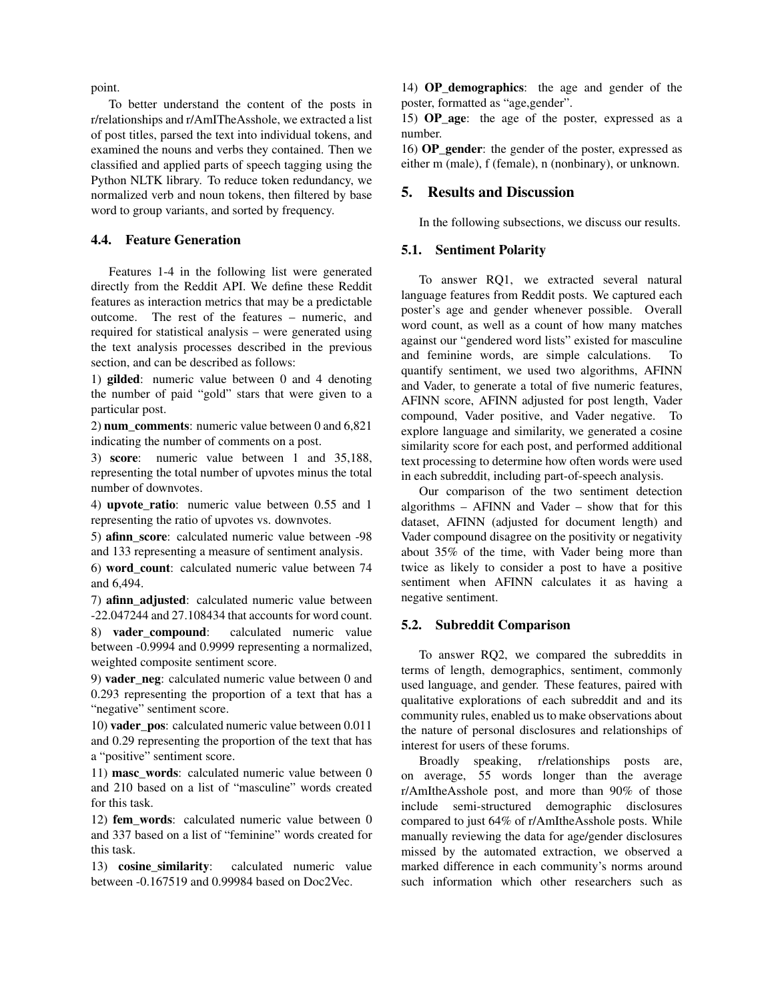point.

To better understand the content of the posts in r/relationships and r/AmITheAsshole, we extracted a list of post titles, parsed the text into individual tokens, and examined the nouns and verbs they contained. Then we classified and applied parts of speech tagging using the Python NLTK library. To reduce token redundancy, we normalized verb and noun tokens, then filtered by base word to group variants, and sorted by frequency.

#### 4.4. Feature Generation

Features 1-4 in the following list were generated directly from the Reddit API. We define these Reddit features as interaction metrics that may be a predictable outcome. The rest of the features – numeric, and required for statistical analysis – were generated using the text analysis processes described in the previous section, and can be described as follows:

1) gilded: numeric value between 0 and 4 denoting the number of paid "gold" stars that were given to a particular post.

2) num\_comments: numeric value between 0 and 6,821 indicating the number of comments on a post.

3) score: numeric value between 1 and 35,188, representing the total number of upvotes minus the total number of downvotes.

4) upvote\_ratio: numeric value between 0.55 and 1 representing the ratio of upvotes vs. downvotes.

5) afinn\_score: calculated numeric value between -98 and 133 representing a measure of sentiment analysis.

6) word\_count: calculated numeric value between 74 and 6,494.

7) afinn adjusted: calculated numeric value between -22.047244 and 27.108434 that accounts for word count.

8) vader compound: calculated numeric value between -0.9994 and 0.9999 representing a normalized, weighted composite sentiment score.

9) vader\_neg: calculated numeric value between 0 and 0.293 representing the proportion of a text that has a "negative" sentiment score.

10) vader\_pos: calculated numeric value between 0.011 and 0.29 representing the proportion of the text that has a "positive" sentiment score.

11) masc\_words: calculated numeric value between 0 and 210 based on a list of "masculine" words created for this task.

12) fem\_words: calculated numeric value between 0 and 337 based on a list of "feminine" words created for this task.

13) cosine\_similarity: calculated numeric value between -0.167519 and 0.99984 based on Doc2Vec.

14) OP\_demographics: the age and gender of the poster, formatted as "age,gender".

15) OP\_age: the age of the poster, expressed as a number.

16) **OP** gender: the gender of the poster, expressed as either m (male), f (female), n (nonbinary), or unknown.

#### 5. Results and Discussion

In the following subsections, we discuss our results.

### 5.1. Sentiment Polarity

To answer RQ1, we extracted several natural language features from Reddit posts. We captured each poster's age and gender whenever possible. Overall word count, as well as a count of how many matches against our "gendered word lists" existed for masculine and feminine words, are simple calculations. To quantify sentiment, we used two algorithms, AFINN and Vader, to generate a total of five numeric features, AFINN score, AFINN adjusted for post length, Vader compound, Vader positive, and Vader negative. To explore language and similarity, we generated a cosine similarity score for each post, and performed additional text processing to determine how often words were used in each subreddit, including part-of-speech analysis.

Our comparison of the two sentiment detection algorithms – AFINN and Vader – show that for this dataset, AFINN (adjusted for document length) and Vader compound disagree on the positivity or negativity about 35% of the time, with Vader being more than twice as likely to consider a post to have a positive sentiment when AFINN calculates it as having a negative sentiment.

#### 5.2. Subreddit Comparison

To answer RQ2, we compared the subreddits in terms of length, demographics, sentiment, commonly used language, and gender. These features, paired with qualitative explorations of each subreddit and and its community rules, enabled us to make observations about the nature of personal disclosures and relationships of interest for users of these forums.

Broadly speaking, r/relationships posts are, on average, 55 words longer than the average r/AmItheAsshole post, and more than 90% of those include semi-structured demographic disclosures compared to just 64% of r/AmItheAsshole posts. While manually reviewing the data for age/gender disclosures missed by the automated extraction, we observed a marked difference in each community's norms around such information which other researchers such as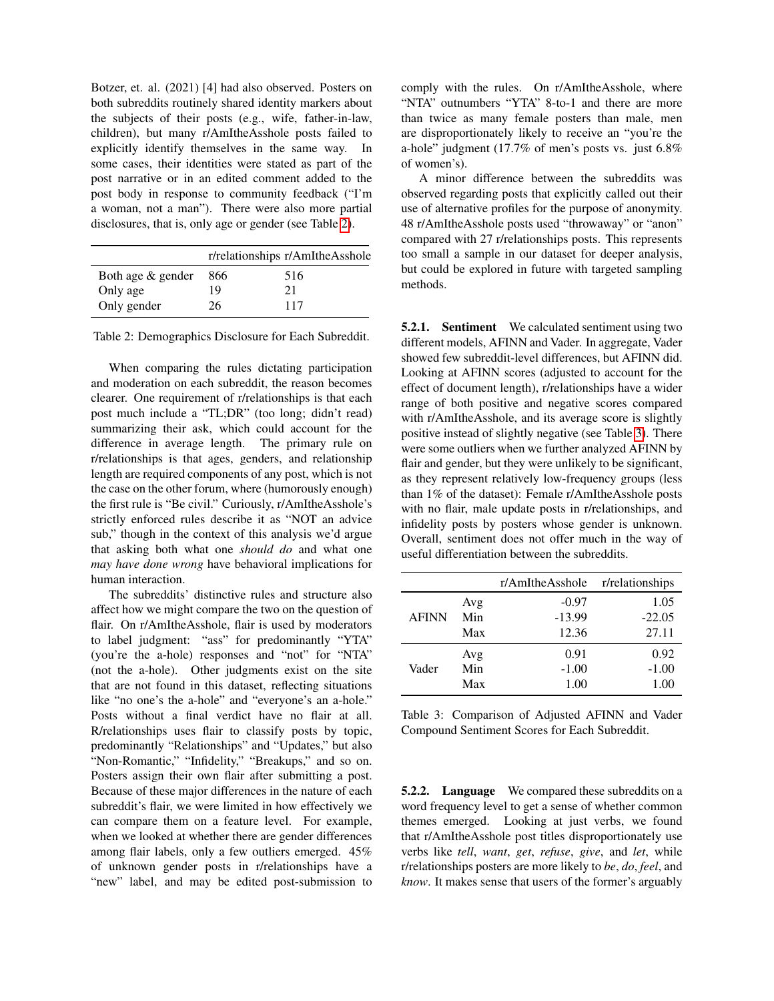Botzer, et. al. (2021) [4] had also observed. Posters on both subreddits routinely shared identity markers about the subjects of their posts (e.g., wife, father-in-law, children), but many r/AmItheAsshole posts failed to explicitly identify themselves in the same way. In some cases, their identities were stated as part of the post narrative or in an edited comment added to the post body in response to community feedback ("I'm a woman, not a man"). There were also more partial disclosures, that is, only age or gender (see Table [2\)](#page-6-0).

<span id="page-6-0"></span>

|                   |     | r/relationships r/AmItheAsshole |
|-------------------|-----|---------------------------------|
| Both age & gender | 866 | 516                             |
| Only age          | 19  | 21                              |
| Only gender       | 26  | 117                             |

Table 2: Demographics Disclosure for Each Subreddit.

When comparing the rules dictating participation and moderation on each subreddit, the reason becomes clearer. One requirement of r/relationships is that each post much include a "TL;DR" (too long; didn't read) summarizing their ask, which could account for the difference in average length. The primary rule on r/relationships is that ages, genders, and relationship length are required components of any post, which is not the case on the other forum, where (humorously enough) the first rule is "Be civil." Curiously, r/AmItheAsshole's strictly enforced rules describe it as "NOT an advice sub," though in the context of this analysis we'd argue that asking both what one *should do* and what one *may have done wrong* have behavioral implications for human interaction.

The subreddits' distinctive rules and structure also affect how we might compare the two on the question of flair. On r/AmItheAsshole, flair is used by moderators to label judgment: "ass" for predominantly "YTA" (you're the a-hole) responses and "not" for "NTA" (not the a-hole). Other judgments exist on the site that are not found in this dataset, reflecting situations like "no one's the a-hole" and "everyone's an a-hole." Posts without a final verdict have no flair at all. R/relationships uses flair to classify posts by topic, predominantly "Relationships" and "Updates," but also "Non-Romantic," "Infidelity," "Breakups," and so on. Posters assign their own flair after submitting a post. Because of these major differences in the nature of each subreddit's flair, we were limited in how effectively we can compare them on a feature level. For example, when we looked at whether there are gender differences among flair labels, only a few outliers emerged. 45% of unknown gender posts in r/relationships have a "new" label, and may be edited post-submission to

comply with the rules. On r/AmItheAsshole, where "NTA" outnumbers "YTA" 8-to-1 and there are more than twice as many female posters than male, men are disproportionately likely to receive an "you're the a-hole" judgment (17.7% of men's posts vs. just 6.8% of women's).

A minor difference between the subreddits was observed regarding posts that explicitly called out their use of alternative profiles for the purpose of anonymity. 48 r/AmItheAsshole posts used "throwaway" or "anon" compared with 27 r/relationships posts. This represents too small a sample in our dataset for deeper analysis, but could be explored in future with targeted sampling methods.

5.2.1. Sentiment We calculated sentiment using two different models, AFINN and Vader. In aggregate, Vader showed few subreddit-level differences, but AFINN did. Looking at AFINN scores (adjusted to account for the effect of document length), r/relationships have a wider range of both positive and negative scores compared with r/AmItheAsshole, and its average score is slightly positive instead of slightly negative (see Table [3\)](#page-6-1). There were some outliers when we further analyzed AFINN by flair and gender, but they were unlikely to be significant, as they represent relatively low-frequency groups (less than 1% of the dataset): Female r/AmItheAsshole posts with no flair, male update posts in r/relationships, and infidelity posts by posters whose gender is unknown. Overall, sentiment does not offer much in the way of useful differentiation between the subreddits.

<span id="page-6-1"></span>

|              |     | r/AmItheAsshole | r/relationships |
|--------------|-----|-----------------|-----------------|
| <b>AFINN</b> | Avg | $-0.97$         | 1.05            |
|              | Min | $-13.99$        | $-22.05$        |
|              | Max | 12.36           | 27.11           |
| Vader        | Avg | 0.91            | 0.92            |
|              | Min | $-1.00$         | $-1.00$         |
|              | Max | 1.00            | 1.00            |

Table 3: Comparison of Adjusted AFINN and Vader Compound Sentiment Scores for Each Subreddit.

5.2.2. Language We compared these subreddits on a word frequency level to get a sense of whether common themes emerged. Looking at just verbs, we found that r/AmItheAsshole post titles disproportionately use verbs like *tell*, *want*, *get*, *refuse*, *give*, and *let*, while r/relationships posters are more likely to *be*, *do*, *feel*, and *know*. It makes sense that users of the former's arguably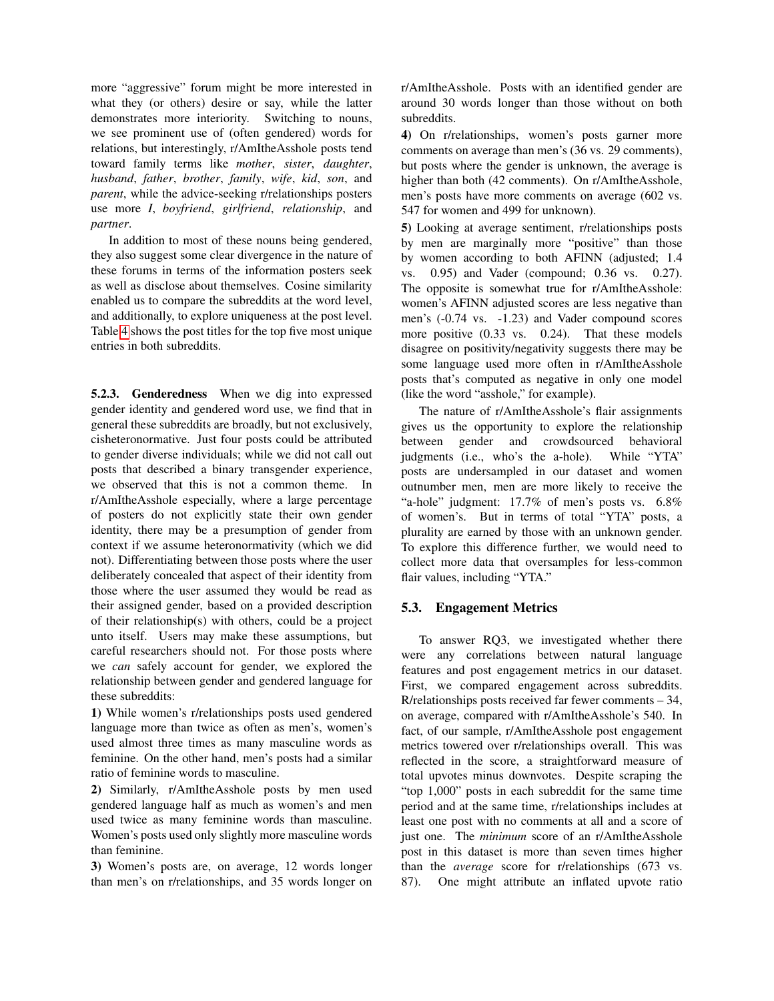more "aggressive" forum might be more interested in what they (or others) desire or say, while the latter demonstrates more interiority. Switching to nouns, we see prominent use of (often gendered) words for relations, but interestingly, r/AmItheAsshole posts tend toward family terms like *mother*, *sister*, *daughter*, *husband*, *father*, *brother*, *family*, *wife*, *kid*, *son*, and *parent*, while the advice-seeking r/relationships posters use more *I*, *boyfriend*, *girlfriend*, *relationship*, and *partner*.

In addition to most of these nouns being gendered, they also suggest some clear divergence in the nature of these forums in terms of the information posters seek as well as disclose about themselves. Cosine similarity enabled us to compare the subreddits at the word level, and additionally, to explore uniqueness at the post level. Table [4](#page-8-0) shows the post titles for the top five most unique entries in both subreddits.

5.2.3. Genderedness When we dig into expressed gender identity and gendered word use, we find that in general these subreddits are broadly, but not exclusively, cisheteronormative. Just four posts could be attributed to gender diverse individuals; while we did not call out posts that described a binary transgender experience, we observed that this is not a common theme. In r/AmItheAsshole especially, where a large percentage of posters do not explicitly state their own gender identity, there may be a presumption of gender from context if we assume heteronormativity (which we did not). Differentiating between those posts where the user deliberately concealed that aspect of their identity from those where the user assumed they would be read as their assigned gender, based on a provided description of their relationship(s) with others, could be a project unto itself. Users may make these assumptions, but careful researchers should not. For those posts where we *can* safely account for gender, we explored the relationship between gender and gendered language for these subreddits:

1) While women's r/relationships posts used gendered language more than twice as often as men's, women's used almost three times as many masculine words as feminine. On the other hand, men's posts had a similar ratio of feminine words to masculine.

2) Similarly, r/AmItheAsshole posts by men used gendered language half as much as women's and men used twice as many feminine words than masculine. Women's posts used only slightly more masculine words than feminine.

3) Women's posts are, on average, 12 words longer than men's on r/relationships, and 35 words longer on r/AmItheAsshole. Posts with an identified gender are around 30 words longer than those without on both subreddits.

4) On r/relationships, women's posts garner more comments on average than men's (36 vs. 29 comments), but posts where the gender is unknown, the average is higher than both (42 comments). On r/AmItheAsshole, men's posts have more comments on average (602 vs. 547 for women and 499 for unknown).

5) Looking at average sentiment, r/relationships posts by men are marginally more "positive" than those by women according to both AFINN (adjusted; 1.4 vs. 0.95) and Vader (compound; 0.36 vs. 0.27). The opposite is somewhat true for r/AmItheAsshole: women's AFINN adjusted scores are less negative than men's (-0.74 vs. -1.23) and Vader compound scores more positive (0.33 vs. 0.24). That these models disagree on positivity/negativity suggests there may be some language used more often in r/AmItheAsshole posts that's computed as negative in only one model (like the word "asshole," for example).

The nature of r/AmItheAsshole's flair assignments gives us the opportunity to explore the relationship between gender and crowdsourced behavioral judgments (i.e., who's the a-hole). While "YTA" posts are undersampled in our dataset and women outnumber men, men are more likely to receive the "a-hole" judgment: 17.7% of men's posts vs. 6.8% of women's. But in terms of total "YTA" posts, a plurality are earned by those with an unknown gender. To explore this difference further, we would need to collect more data that oversamples for less-common flair values, including "YTA."

### 5.3. Engagement Metrics

To answer RQ3, we investigated whether there were any correlations between natural language features and post engagement metrics in our dataset. First, we compared engagement across subreddits. R/relationships posts received far fewer comments – 34, on average, compared with r/AmItheAsshole's 540. In fact, of our sample, r/AmItheAsshole post engagement metrics towered over r/relationships overall. This was reflected in the score, a straightforward measure of total upvotes minus downvotes. Despite scraping the "top 1,000" posts in each subreddit for the same time period and at the same time, r/relationships includes at least one post with no comments at all and a score of just one. The *minimum* score of an r/AmItheAsshole post in this dataset is more than seven times higher than the *average* score for r/relationships (673 vs. 87). One might attribute an inflated upvote ratio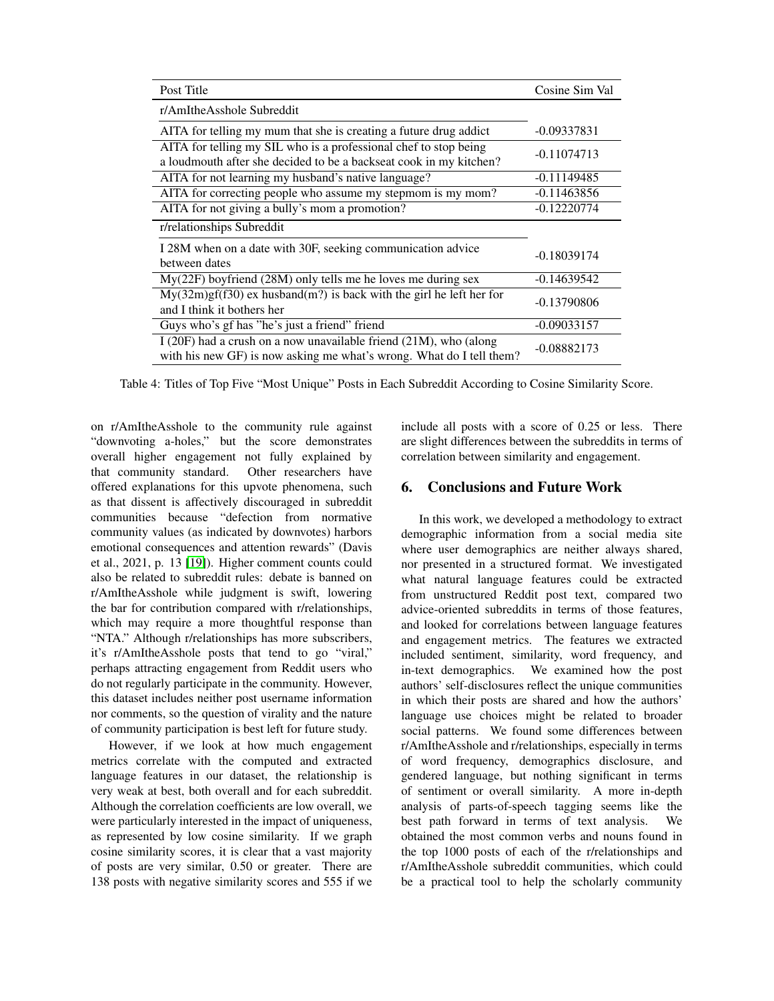<span id="page-8-0"></span>

| Post Title                                                                                                                                   | Cosine Sim Val |
|----------------------------------------------------------------------------------------------------------------------------------------------|----------------|
| r/AmItheAsshole Subreddit                                                                                                                    |                |
| AITA for telling my mum that she is creating a future drug addict                                                                            | $-0.09337831$  |
| AITA for telling my SIL who is a professional chef to stop being<br>a loudmouth after she decided to be a backseat cook in my kitchen?       | $-0.11074713$  |
| AITA for not learning my husband's native language?                                                                                          | $-0.11149485$  |
| AITA for correcting people who assume my stepmom is my mom?                                                                                  | $-0.11463856$  |
| AITA for not giving a bully's mom a promotion?                                                                                               | $-0.12220774$  |
| r/relationships Subreddit                                                                                                                    |                |
| I 28M when on a date with 30F, seeking communication advice<br>between dates                                                                 | $-0.18039174$  |
| $My(22F)$ boyfriend (28M) only tells me he loves me during sex                                                                               | $-0.14639542$  |
| $My(32m)gf(530)$ ex husband $(m?)$ is back with the girl he left her for<br>and I think it bothers her                                       | $-0.13790806$  |
| Guys who's gf has "he's just a friend" friend                                                                                                | $-0.09033157$  |
| I (20F) had a crush on a now unavailable friend $(21M)$ , who (along<br>with his new GF) is now asking me what's wrong. What do I tell them? | $-0.08882173$  |

Table 4: Titles of Top Five "Most Unique" Posts in Each Subreddit According to Cosine Similarity Score.

on r/AmItheAsshole to the community rule against "downvoting a-holes," but the score demonstrates overall higher engagement not fully explained by that community standard. Other researchers have offered explanations for this upvote phenomena, such as that dissent is affectively discouraged in subreddit communities because "defection from normative community values (as indicated by downvotes) harbors emotional consequences and attention rewards" (Davis et al., 2021, p. 13 [\[19\]](#page-9-18)). Higher comment counts could also be related to subreddit rules: debate is banned on r/AmItheAsshole while judgment is swift, lowering the bar for contribution compared with r/relationships, which may require a more thoughtful response than "NTA." Although r/relationships has more subscribers, it's r/AmItheAsshole posts that tend to go "viral," perhaps attracting engagement from Reddit users who do not regularly participate in the community. However, this dataset includes neither post username information nor comments, so the question of virality and the nature of community participation is best left for future study.

However, if we look at how much engagement metrics correlate with the computed and extracted language features in our dataset, the relationship is very weak at best, both overall and for each subreddit. Although the correlation coefficients are low overall, we were particularly interested in the impact of uniqueness, as represented by low cosine similarity. If we graph cosine similarity scores, it is clear that a vast majority of posts are very similar, 0.50 or greater. There are 138 posts with negative similarity scores and 555 if we include all posts with a score of 0.25 or less. There are slight differences between the subreddits in terms of correlation between similarity and engagement.

# 6. Conclusions and Future Work

In this work, we developed a methodology to extract demographic information from a social media site where user demographics are neither always shared, nor presented in a structured format. We investigated what natural language features could be extracted from unstructured Reddit post text, compared two advice-oriented subreddits in terms of those features, and looked for correlations between language features and engagement metrics. The features we extracted included sentiment, similarity, word frequency, and in-text demographics. We examined how the post authors' self-disclosures reflect the unique communities in which their posts are shared and how the authors' language use choices might be related to broader social patterns. We found some differences between r/AmItheAsshole and r/relationships, especially in terms of word frequency, demographics disclosure, and gendered language, but nothing significant in terms of sentiment or overall similarity. A more in-depth analysis of parts-of-speech tagging seems like the best path forward in terms of text analysis. We obtained the most common verbs and nouns found in the top 1000 posts of each of the r/relationships and r/AmItheAsshole subreddit communities, which could be a practical tool to help the scholarly community